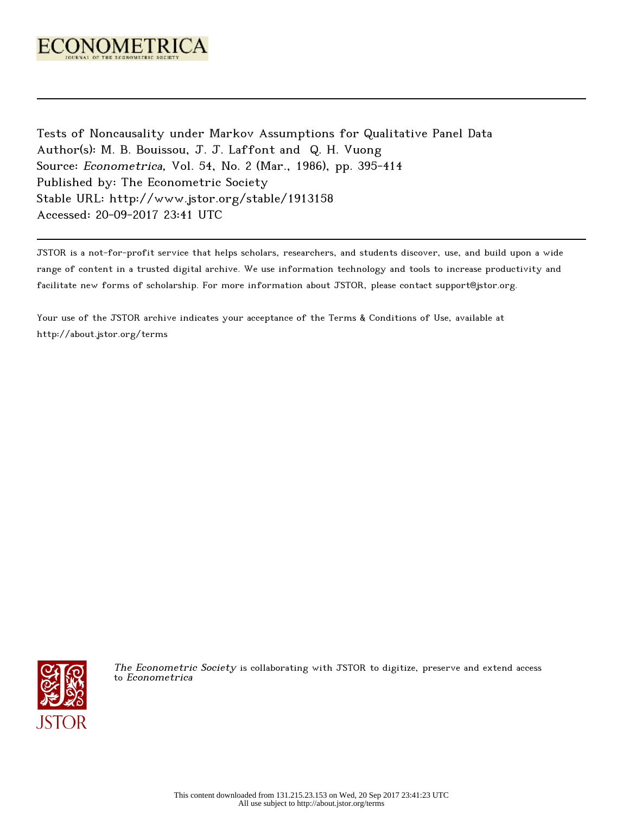

Tests of Noncausality under Markov Assumptions for Qualitative Panel Data Author(s): M. B. Bouissou, J. J. Laffont and Q. H. Vuong Source: Econometrica, Vol. 54, No. 2 (Mar., 1986), pp. 395-414 Published by: The Econometric Society Stable URL: http://www.jstor.org/stable/1913158 Accessed: 20-09-2017 23:41 UTC

JSTOR is a not-for-profit service that helps scholars, researchers, and students discover, use, and build upon a wide range of content in a trusted digital archive. We use information technology and tools to increase productivity and facilitate new forms of scholarship. For more information about JSTOR, please contact support@jstor.org.

Your use of the JSTOR archive indicates your acceptance of the Terms & Conditions of Use, available at http://about.jstor.org/terms



The Econometric Society is collaborating with JSTOR to digitize, preserve and extend access to Econometrica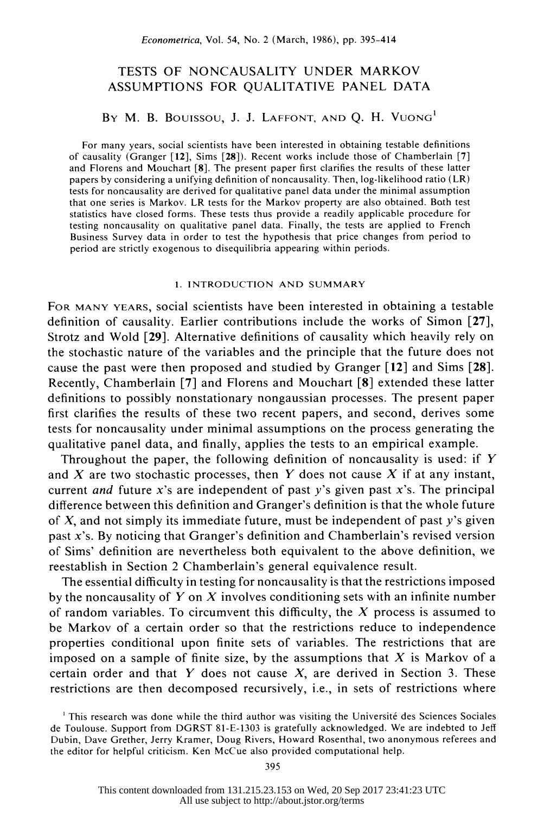# TESTS OF NONCAUSALITY UNDER MARKOV ASSUMPTIONS FOR QUALITATIVE PANEL DATA

# BY M. B. BOUISSOU, J. J. LAFFONT, AND Q. H. VUONG<sup>1</sup>

 For many years, social scientists have been interested in obtaining testable definitions of causality (Granger [12], Sims [28]). Recent works include those of Chamberlain [7] and Florens and Mouchart [8]. The present paper first clarifies the results of these latter papers by considering a unifying definition of noncausality. Then, log-likelihood ratio (LR) tests for noncausality are derived for qualitative panel data under the minimal assumption that one series is Markov. LR tests for the Markov property are also obtained. Both test statistics have closed forms. These tests thus provide a readily applicable procedure for testing noncausality on qualitative panel data. Finally, the tests are applied to French Business Survey data in order to test the hypothesis that price changes from period to period are strictly exogenous to disequilibria appearing within periods.

# 1. INTRODUCTION AND SUMMARY

 FOR MANY YEARS, social scientists have been interested in obtaining a testable definition of causality. Earlier contributions include the works of Simon [27], Strotz and Wold [29]. Alternative definitions of causality which heavily rely on the stochastic nature of the variables and the principle that the future does not cause the past were then proposed and studied by Granger [12] and Sims [28]. Recently, Chamberlain [7] and Florens and Mouchart [8] extended these latter definitions to possibly nonstationary nongaussian processes. The present paper first clarifies the results of these two recent papers, and second, derives some tests for noncausality under minimal assumptions on the process generating the qualitative panel data, and finally, applies the tests to an empirical example.

Throughout the paper, the following definition of noncausality is used: if  $Y$ and X are two stochastic processes, then Y does not cause X if at any instant, current and future x's are independent of past  $y$ 's given past x's. The principal difference between this definition and Granger's definition is that the whole future of  $X$ , and not simply its immediate future, must be independent of past  $y$ 's given past x's. By noticing that Granger's definition and Chamberlain's revised version of Sims' definition are nevertheless both equivalent to the above definition, we reestablish in Section 2 Chamberlain's general equivalence result.

 The essential difficulty in testing for noncausality is that the restrictions imposed by the noncausality of  $Y$  on  $X$  involves conditioning sets with an infinite number of random variables. To circumvent this difficulty, the  $X$  process is assumed to be Markov of a certain order so that the restrictions reduce to independence properties conditional upon finite sets of variables. The restrictions that are imposed on a sample of finite size, by the assumptions that  $X$  is Markov of a certain order and that  $Y$  does not cause  $X$ , are derived in Section 3. These restrictions are then decomposed recursively, i.e., in sets of restrictions where

<sup>&</sup>lt;sup>1</sup> This research was done while the third author was visiting the Université des Sciences Sociales de Toulouse. Support from DGRST 81-E-1303 is gratefully acknowledged. We are indebted to Jeff Dubin, Dave Grether, Jerry Kramer, Doug Rivers, Howard Rosenthal, two anonymous referees and the editor for helpful criticism. Ken McCue also provided computational help.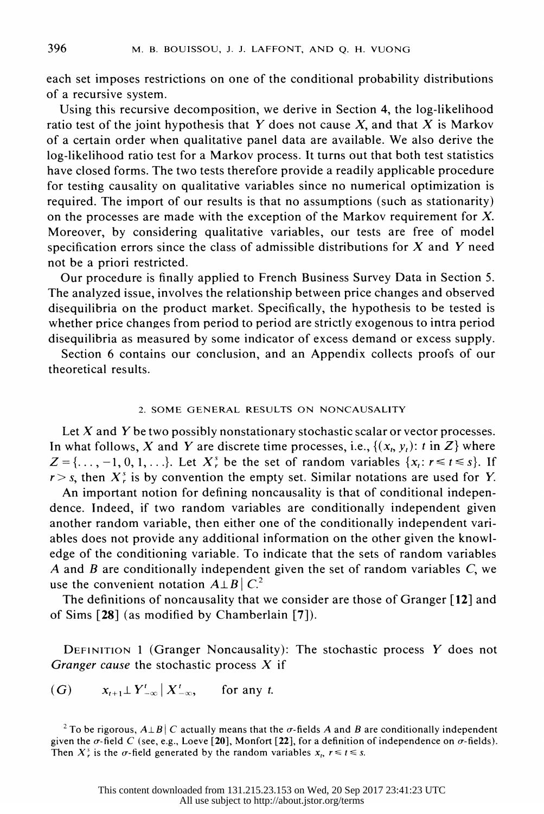each set imposes restrictions on one of the conditional probability distributions of a recursive system.

 Using this recursive decomposition, we derive in Section 4, the log-likelihood ratio test of the joint hypothesis that Y does not cause  $X$ , and that  $X$  is Markov of a certain order when qualitative panel data are available. We also derive the log-likelihood ratio test for a Markov process. It turns out that both test statistics have closed forms. The two tests therefore provide a readily applicable procedure for testing causality on qualitative variables since no numerical optimization is required. The import of our results is that no assumptions (such as stationarity) on the processes are made with the exception of the Markov requirement for X. Moreover, by considering qualitative variables, our tests are free of model specification errors since the class of admissible distributions for  $X$  and  $Y$  need not be a priori restricted.

 Our procedure is finally applied to French Business Survey Data in Section 5. The analyzed issue, involves the relationship between price changes and observed disequilibria on the product market. Specifically, the hypothesis to be tested is whether price changes from period to period are strictly exogenous to intra period disequilibria as measured by some indicator of excess demand or excess supply.

 Section 6 contains our conclusion, and an Appendix collects proofs of our theoretical results.

## 2. SOME GENERAL RESULTS ON NONCAUSALITY

Let X and Y be two possibly nonstationary stochastic scalar or vector processes. In what follows, X and Y are discrete time processes, i.e.,  $\{(x_i, y_i): t \in \mathbb{Z}\}\$  where  $Z = \{ \ldots, -1, 0, 1, \ldots \}$ . Let  $X_r^s$  be the set of random variables  $\{x_i : r \le t \le s\}$ . If  $r>s$ , then  $X_r^s$  is by convention the empty set. Similar notations are used for Y.

 An important notion for defining noncausality is that of conditional indepen dence. Indeed, if two random variables are conditionally independent given another random variable, then either one of the conditionally independent vari ables does not provide any additional information on the other given the knowl edge of the conditioning variable. To indicate that the sets of random variables A and  $B$  are conditionally independent given the set of random variables  $C$ , we use the convenient notation  $A \perp B \mid C^2$ 

 The definitions of noncausality that we consider are those of Granger [12] and of Sims [28] (as modified by Chamberlain [7]).

 DEFINITION 1 (Granger Noncausality): The stochastic process Y does not Granger cause the stochastic process  $X$  if

 $(G)$   $X_{t+1} \perp Y'_{-\infty} | X'_{-\infty}$ , for any t.

<sup>2</sup> To be rigorous,  $A \perp B \mid C$  actually means that the  $\sigma$ -fields A and B are conditionally independent given the  $\sigma$ -field C (see, e.g., Loeve [20], Monfort [22], for a definition of independence on  $\sigma$ -fields). Then  $X_r^s$  is the  $\sigma$ -field generated by the random variables  $x_i$ ,  $r \le t \le s$ .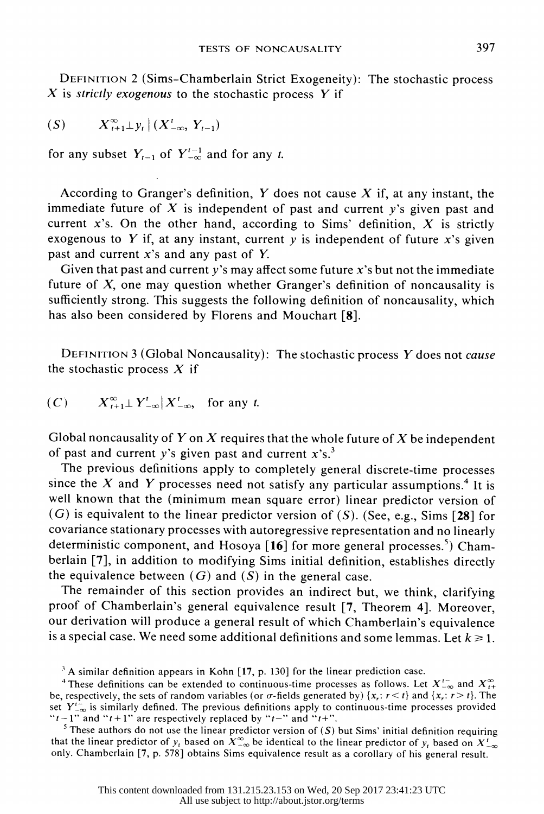DEFINITION 2 (Sims-Chamberlain Strict Exogeneity): The stochastic process X is strictly exogenous to the stochastic process Y if

$$
(S) \qquad X_{t+1}^{\infty} \perp y_t \mid (X_{-\infty}^t, Y_{t-1})
$$

for any subset  $Y_{t-1}$  of  $Y_{-\infty}^{t-1}$  and for any t.

According to Granger's definition, Y does not cause  $X$  if, at any instant, the immediate future of X is independent of past and current  $y$ 's given past and current x's. On the other hand, according to Sims' definition,  $X$  is strictly exogenous to Y if, at any instant, current  $y$  is independent of future  $x$ 's given past and current  $x$ 's and any past of  $Y$ .

Given that past and current  $y$ 's may affect some future  $x$ 's but not the immediate future of  $X$ , one may question whether Granger's definition of noncausality is sufficiently strong. This suggests the following definition of noncausality, which has also been considered by Florens and Mouchart [8].

DEFINITION 3 (Global Noncausality): The stochastic process  $Y$  does not *cause* the stochastic process  $X$  if

 $(C)$   $X_{t+1}^{\infty} \perp Y'_{-\infty} | X'_{-\infty}$ , for any t.

Global noncausality of Y on X requires that the whole future of X be independent of past and current y's given past and current  $x's$ .<sup>3</sup>

 The previous definitions apply to completely general discrete-time processes since the  $X$  and  $Y$  processes need not satisfy any particular assumptions.<sup>4</sup> It is well known that the (minimum mean square error) linear predictor version of  $(G)$  is equivalent to the linear predictor version of  $(S)$ . (See, e.g., Sims [28] for covariance stationary processes with autoregressive representation and no linearly deterministic component, and Hosoya  $[16]$  for more general processes.<sup>5</sup>) Cham berlain [7], in addition to modifying Sims initial definition, establishes directly the equivalence between  $(G)$  and  $(S)$  in the general case.

 The remainder of this section provides an indirect but, we think, clarifying proof of Chamberlain's general equivalence result [7, Theorem 4]. Moreover, our derivation will produce a general result of which Chamberlain's equivalence is a special case. We need some additional definitions and some lemmas. Let  $k \ge 1$ .

 $<sup>3</sup>$  A similar definition appears in Kohn [17, p. 130] for the linear prediction case.</sup>

<sup>&</sup>lt;sup>4</sup> These definitions can be extended to continuous-time processes as follows. Let  $X_{-\infty}^{-\infty}$  and  $X_{\tau}^{\infty}$ be, respectively, the sets of random variables (or  $\sigma$ -fields generated by) {x,:  $r < t$ } and {x,:  $r > t$ }. The set  $Y_{-\infty}^{t-}$  is similarly defined. The previous definitions apply to continuous-time processes provided "t-1" and "t+1" are respectively replaced by "t-" and "t+".

<sup>&</sup>lt;sup>5</sup> These authors do not use the linear predictor version of  $(S)$  but Sims' initial definition requiring that the linear predictor of  $y_t$  based on  $X_{-\infty}^{\infty}$  be identical to the linear predictor of  $y_t$  based on  $X_{-\infty}^t$ only. Chamberlain [7, p. 578] obtains Sims equivalence result as a corollary of his general result.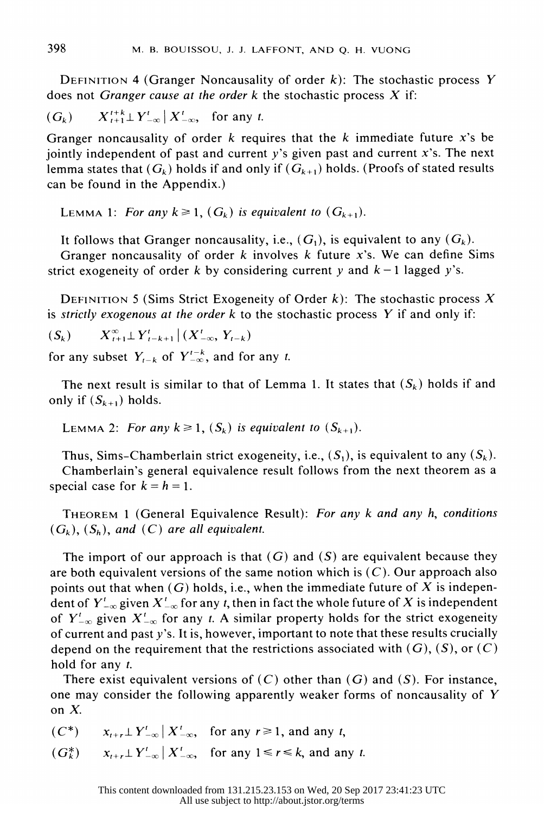DEFINITION 4 (Granger Noncausality of order  $k$ ): The stochastic process Y does not *Granger cause at the order*  $k$  the stochastic process  $X$  if:

$$
(G_k) \qquad X_{t+1}^{t+k} \perp Y'_{-\infty} \mid X'_{-\infty}, \quad \text{for any } t.
$$

Granger noncausality of order k requires that the  $k$  immediate future  $x$ 's be jointly independent of past and current  $y$ 's given past and current  $x$ 's. The next lemma states that  $(G_k)$  holds if and only if  $(G_{k+1})$  holds. (Proofs of stated results can be found in the Appendix.)

LEMMA 1: For any  $k \ge 1$ ,  $(G_k)$  is equivalent to  $(G_{k+1})$ .

It follows that Granger noncausality, i.e.,  $(G_1)$ , is equivalent to any  $(G_k)$ .

Granger noncausality of order  $k$  involves  $k$  future  $x$ 's. We can define Sims strict exogeneity of order k by considering current y and  $k-1$  lagged y's.

DEFINITION 5 (Sims Strict Exogeneity of Order  $k$ ): The stochastic process X is strictly exogenous at the order  $k$  to the stochastic process  $Y$  if and only if:

 $(S_k)$   $X_{t+1}^{\infty} \perp Y_{t-k+1}^t \mid (X_{-\infty}^t, Y_{t-k})$ 

for any subset  $Y_{t-k}$  of  $Y_{-\infty}^{t-k}$ , and for any t.

The next result is similar to that of Lemma 1. It states that  $(S_k)$  holds if and only if  $(S_{k+1})$  holds.

LEMMA 2: For any  $k \ge 1$ ,  $(S_k)$  is equivalent to  $(S_{k+1})$ .

Thus, Sims-Chamberlain strict exogeneity, i.e.,  $(S_1)$ , is equivalent to any  $(S_k)$ . Chamberlain's general equivalence result follows from the next theorem as a special case for  $k = h = 1$ .

 THEOREM 1 (General Equivalence Result): For any k and any h, conditions  $(G_k)$ ,  $(S_h)$ , and  $(C)$  are all equivalent.

The import of our approach is that  $(G)$  and  $(S)$  are equivalent because they are both equivalent versions of the same notion which is  $(C)$ . Our approach also points out that when  $(G)$  holds, i.e., when the immediate future of X is independent of  $Y'_{-\infty}$  given  $X'_{-\infty}$  for any t, then in fact the whole future of X is independent of  $Y_{-\infty}^t$  given  $X_{-\infty}^t$  for any t. A similar property holds for the strict exogeneity of current and past  $y$ 's. It is, however, important to note that these results crucially depend on the requirement that the restrictions associated with  $(G)$ ,  $(S)$ , or  $(C)$ hold for any t.

There exist equivalent versions of  $(C)$  other than  $(G)$  and  $(S)$ . For instance, one may consider the following apparently weaker forms of noncausality of Y on X.

 $(C^*)$   $x_{t+r} \perp Y'_{-\infty} | X'_{-\infty}$ , for any  $r \ge 1$ , and any t,

 $(G<sub>k</sub><sup>*</sup>)$   $x<sub>t+r</sub> \perp Y'_{-\infty} | X'_{-\infty}$ , for any  $1 \le r \le k$ , and any t.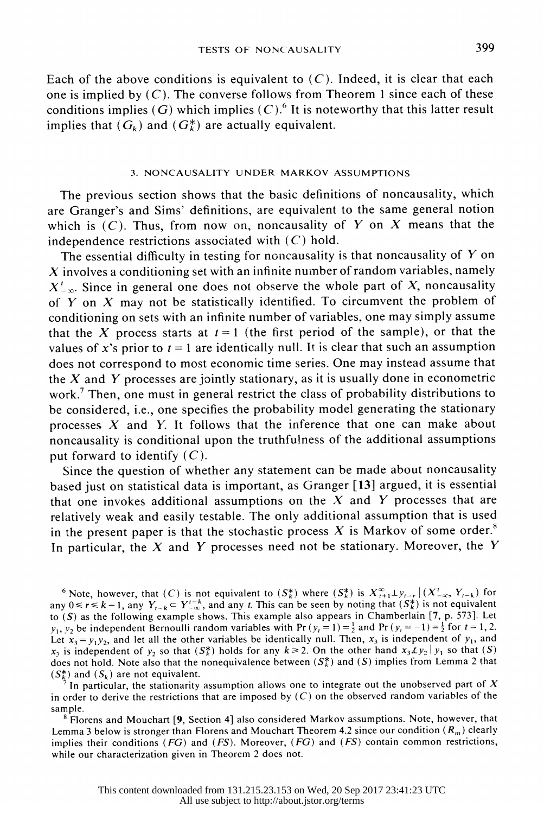Each of the above conditions is equivalent to  $(C)$ . Indeed, it is clear that each one is implied by  $(C)$ . The converse follows from Theorem 1 since each of these conditions implies  $(G)$  which implies  $(C)$ .<sup>6</sup> It is noteworthy that this latter result implies that  $(G_k)$  and  $(G_k^*)$  are actually equivalent.

## 3. NONCAUSALITY UNDER MARKOV ASSUMPTIONS

 The previous section shows that the basic definitions of noncausality, which are Granger's and Sims' definitions, are equivalent to the same general notion which is  $(C)$ . Thus, from now on, noncausality of Y on X means that the independence restrictions associated with  $(C)$  hold.

The essential difficulty in testing for noncausality is that noncausality of  $Y$  on  $X$  involves a conditioning set with an infinite number of random variables, namely  $X_{-\infty}^t$ . Since in general one does not observe the whole part of X, noncausality of  $Y$  on  $X$  may not be statistically identified. To circumvent the problem of conditioning on sets with an infinite number of variables, one may simply assume that the X process starts at  $t=1$  (the first period of the sample), or that the values of x's prior to  $t = 1$  are identically null. It is clear that such an assumption does not correspond to most economic time series. One may instead assume that the  $X$  and  $Y$  processes are jointly stationary, as it is usually done in econometric work.<sup>7</sup> Then, one must in general restrict the class of probability distributions to be considered, i.e., one specifies the probability model generating the stationary processes  $X$  and  $Y$ . It follows that the inference that one can make about noncausality is conditional upon the truthfulness of the additional assumptions put forward to identify  $(C)$ .

 Since the question of whether any statement can be made about noncausality based just on statistical data is important, as Granger [13] argued, it is essential that one invokes additional assumptions on the  $X$  and  $Y$  processes that are relatively weak and easily testable. The only additional assumption that is used in the present paper is that the stochastic process  $X$  is Markov of some order.<sup>8</sup> In particular, the  $X$  and  $Y$  processes need not be stationary. Moreover, the  $Y$ 

<sup>6</sup> Note, however, that (C) is not equivalent to  $(S_k^*)$  where  $(S_k^*)$  is  $X_{t+1}^{\infty} \perp y_{t-r} | (X_{-\infty}^t, Y_{t-k})$  for any  $0 \le r \le k-1$ , any  $Y_{t-k} \subset Y_{-\infty}^{t-k}$ , and any t. This can be seen by noting that  $(S_k^*)$  is not equivalent to (S) as the following example shows. This example also appears in Chamberlain [7, p. 573]. Let  $y_1, y_2$  be independent Bernoulli random variables with Pr  $(y_t = 1) = \frac{1}{2}$  and Pr  $(y_t = -1) = \frac{1}{2}$  for  $t = 1, 2$ . Let  $x_3 = y_1y_2$ , and let all the other variables be identically null. Then,  $x_3$  is independent of  $y_1$ , and  $x_3$  is independent of  $y_2$  so that  $(S_k^*)$  holds for any  $k \ge 2$ . On the other hand  $x_3 \perp y_2 | y_1$  so that  $(S)$ does not hold. Note also that the nonequivalence between  $(S_k^*)$  and  $(S)$  implies from Lemma 2 that  $(S_k^*)$  and  $(S_k)$  are not equivalent.

In particular, the stationarity assumption allows one to integrate out the unobserved part of  $X$ in order to derive the restrictions that are imposed by  $(C)$  on the observed random variables of the sample.

 8 Florens and Mouchart [9, Section 4] also considered Markov assumptions. Note, however, that Lemma 3 below is stronger than Florens and Mouchart Theorem 4.2 since our condition  $(R_m)$  clearly implies their conditions (FG) and (FS). Moreover, (FG) and (FS) contain common restrictions, while our characterization given in Theorem 2 does not.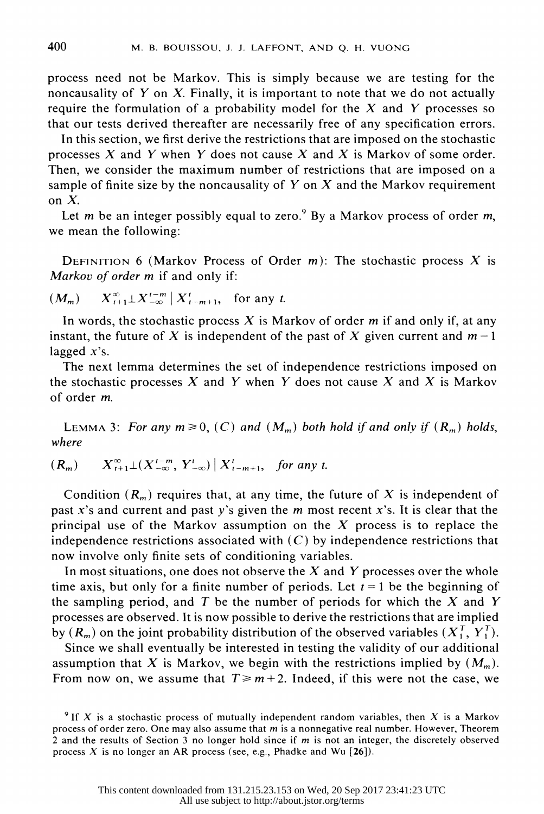process need not be Markov. This is simply because we are testing for the noncausality of  $Y$  on  $X$ . Finally, it is important to note that we do not actually require the formulation of a probability model for the  $X$  and  $Y$  processes so that our tests derived thereafter are necessarily free of any specification errors.

 In this section, we first derive the restrictions that are imposed on the stochastic processes  $X$  and  $Y$  when  $Y$  does not cause  $X$  and  $X$  is Markov of some order. Then, we consider the maximum number of restrictions that are imposed on a sample of finite size by the noncausality of Y on X and the Markov requirement on X.

Let m be an integer possibly equal to zero.<sup>9</sup> By a Markov process of order m, we mean the following:

DEFINITION 6 (Markov Process of Order  $m$ ): The stochastic process  $X$  is Markov of order m if and only if:

$$
(M_m) \tX_{t+1}^{\infty} \perp X_{-\infty}^{t-m} | X_{t-m+1}^t, \text{ for any } t.
$$

In words, the stochastic process  $X$  is Markov of order m if and only if, at any instant, the future of X is independent of the past of X given current and  $m-1$ lagged  $x$ 's.

 The next lemma determines the set of independence restrictions imposed on the stochastic processes  $X$  and  $Y$  when  $Y$  does not cause  $X$  and  $X$  is Markov of order m.

LEMMA 3: For any  $m \ge 0$ , (C) and  $(M_m)$  both hold if and only if  $(R_m)$  holds, where

 $(R_m)$   $X_{t+1}^{\infty} \perp (X_{-\infty}^{t-m}, Y_{-\infty}^t) | X_{t-m+1}^t$ , for any t.

Condition  $(R_m)$  requires that, at any time, the future of X is independent of past x's and current and past y's given the  $m$  most recent x's. It is clear that the principal use of the Markov assumption on the  $X$  process is to replace the independence restrictions associated with  $(C)$  by independence restrictions that now involve only finite sets of conditioning variables.

In most situations, one does not observe the  $X$  and  $Y$  processes over the whole time axis, but only for a finite number of periods. Let  $t = 1$  be the beginning of the sampling period, and T be the number of periods for which the X and Y processes are observed. It is now possible to derive the restrictions that are implied by  $(R_m)$  on the joint probability distribution of the observed variables  $(X_1^T, Y_1^T)$ .

 Since we shall eventually be interested in testing the validity of our additional assumption that X is Markov, we begin with the restrictions implied by  $(M_m)$ . From now on, we assume that  $T \ge m + 2$ . Indeed, if this were not the case, we

<sup>&</sup>lt;sup>9</sup> If X is a stochastic process of mutually independent random variables, then X is a Markov process of order zero. One may also assume that  $m$  is a nonnegative real number. However, Theorem 2 and the results of Section 3 no longer hold since if  $m$  is not an integer, the discretely observed process  $X$  is no longer an AR process (see, e.g., Phadke and Wu [26]).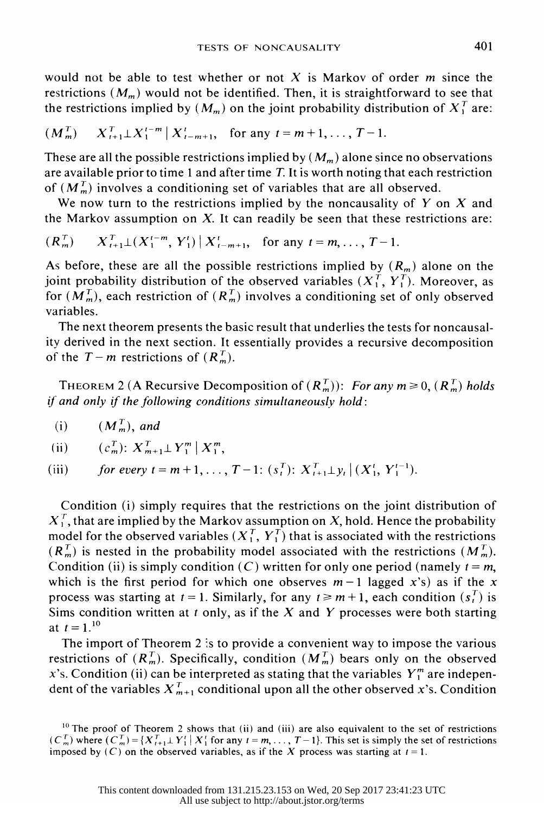would not be able to test whether or not  $X$  is Markov of order  $m$  since the restrictions  $(M_m)$  would not be identified. Then, it is straightforward to see that the restrictions implied by  $(M_m)$  on the joint probability distribution of  $X_1^T$  are:

$$
(M_m^T)
$$
  $X_{t+1}^T \perp X_1^{t-m} | X_{t-m+1}^T$ , for any  $t = m+1, ..., T-1$ .

These are all the possible restrictions implied by  $(M_m)$  alone since no observations are available prior to time 1 and after time T. It is worth noting that each restriction of  $(M_m^T)$  involves a conditioning set of variables that are all observed.

We now turn to the restrictions implied by the noncausality of  $Y$  on  $X$  and the Markov assumption on  $X$ . It can readily be seen that these restrictions are:

$$
(R_m^T)
$$
  $X_{t+1}^T \perp (X_1^{t-m}, Y_1^t) | X_{t-m+1}^t$ , for any  $t = m, ..., T-1$ .

As before, these are all the possible restrictions implied by  $(R_m)$  alone on the joint probability distribution of the observed variables  $(X_1^T, Y_1^T)$ . Moreover, as for  $(M_m^T)$ , each restriction of  $(R_m^T)$  involves a conditioning set of only observed variables.

 The next theorem presents the basic result that underlies the tests for noncausal itv derived in the next section. It essentially provides a recursive decomposition of the  $T - m$  restrictions of  $(R_m^T)$ .

THEOREM 2 (A Recursive Decomposition of  $(R_m^T)$ ): For any  $m \ge 0$ ,  $(R_m^T)$  holds if and only if the following conditions simultaneously hold:

(i) 
$$
(M_m^T)
$$
, and

$$
\text{(ii)} \qquad \text{(} \mathcal{C}_m^T \text{): } X_{m+1}^T \perp Y_1^m \mid X_1^m,
$$

(iii) *for every* 
$$
t = m + 1, ..., T - 1
$$
:  $(s_t^T)$ :  $X_{t+1}^T \perp y_t | (X_1^t, Y_1^{t-1})$ .

 Condition (i) simply requires that the restrictions on the joint distribution of  $X_1^T$ , that are implied by the Markov assumption on X, hold. Hence the probability model for the observed variables  $(X_1^T, Y_1^T)$  that is associated with the restrictions  $(R_m^T)$  is nested in the probability model associated with the restrictions  $(M_m^T)$ . Condition (ii) is simply condition (C) written for only one period (namely  $t = m$ , which is the first period for which one observes  $m-1$  lagged x's) as if the x process was starting at  $t = 1$ . Similarly, for any  $t \ge m + 1$ , each condition  $(s_t^T)$  is Sims condition written at t only, as if the  $X$  and  $Y$  processes were both starting at  $t = 1.^{10}$ 

The import of Theorem 2 is to provide a convenient way to impose the various restrictions of  $(R_m^T)$ . Specifically, condition  $(M_m^T)$  bears only on the observed x's. Condition (ii) can be interpreted as stating that the variables  $Y_1^m$  are independent of the variables  $X_{m+1}^T$  conditional upon all the other observed x's. Condition

 $10$  The proof of Theorem 2 shows that (ii) and (iii) are also equivalent to the set of restrictions  $(C_m^T)$  where  $(C_m^T) = {X_{t+1}^T \perp Y_1^t \mid X_1^t}$  for any  $t = m, \ldots, T - 1$ . This set is simply the set of restrictions imposed by (C) on the observed variables, as if the X process was starting at  $t = 1$ .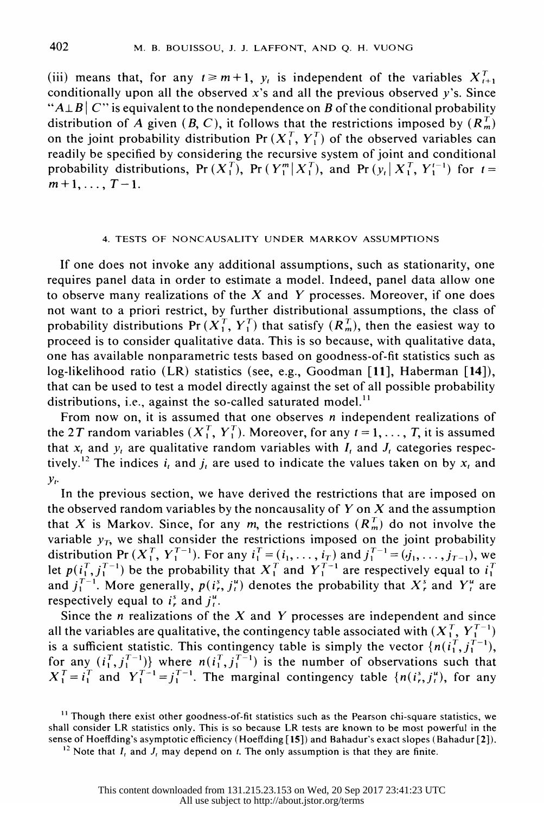(iii) means that, for any  $t \ge m+1$ ,  $y_t$  is independent of the variables  $X_{t+1}^T$ conditionally upon all the observed x's and all the previous observed y's. Since " $A \perp B$  C" is equivalent to the nondependence on B of the conditional probability distribution of A given (B, C), it follows that the restrictions imposed by  $(R_m^T)$ on the joint probability distribution Pr  $(X_1^T, Y_1^T)$  of the observed variables can readily be specified by considering the recursive system of joint and conditional probability distributions, Pr  $(X_1^T)$ , Pr  $(Y_1^m | X_1^T)$ , and Pr  $(y_t | X_1^T, Y_1^{t-1})$  for  $t=$  $m+1, \ldots, T-1.$ 

## 4. TESTS OF NONCAUSALITY UNDER MARKOV ASSUMPTIONS

 If one does not invoke any additional assumptions, such as stationarity, one requires panel data in order to estimate a model. Indeed, panel data allow one to observe many realizations of the  $X$  and  $Y$  processes. Moreover, if one does not want to a priori restrict, by further distributional assumptions, the class of probability distributions Pr  $(X_1^T, Y_1^T)$  that satisfy  $(R_m^T)$ , then the easiest way to proceed is to consider qualitative data. This is so because, with qualitative data, one has available nonparametric tests based on goodness-of-fit statistics such as log-likelihood ratio (LR) statistics (see, e.g., Goodman [11], Haberman [14]), that can be used to test a model directly against the set of all possible probability distributions, i.e., against the so-called saturated model.<sup>11</sup>

 From now on, it is assumed that one observes n independent realizations of the 2T random variables  $(X_1^T, Y_1^T)$ . Moreover, for any  $t = 1, ..., T$ , it is assumed that  $x_t$  and  $y_t$  are qualitative random variables with  $I_t$  and  $J_t$  categories respectively.<sup>12</sup> The indices  $i_t$  and  $j_t$  are used to indicate the values taken on by  $x_t$  and  $y_{t}$ .

 In the previous section, we have derived the restrictions that are imposed on the observed random variables by the noncausality of Y on X and the assumption that X is Markov. Since, for any m, the restrictions  $(R_m^T)$  do not involve the variable  $y_T$ , we shall consider the restrictions imposed on the joint probability distribution Pr  $(X_1^T, Y_1^{T-1})$ . For any  $i_1^T = (i_1, \ldots, i_T)$  and  $j_1^{T-1} = (j_1, \ldots, j_{T-1})$ , we let  $p(i_1,j_1)$  be the probability that  $X_1$  and  $Y_1$ <sup>-</sup> are respectively equal to  $i_1$ and  $j_1^{T-1}$ . More generally,  $p(i_r^s, j_t^u)$  denotes the probability that  $X_r^s$  and  $Y_t^u$  are respectively equal to  $i_r^s$  and  $j_t^u$ .

Since the *n* realizations of the  $X$  and  $Y$  processes are independent and since all the variables are qualitative, the contingency table associated with  $(X_1^T, Y_1^{T-1})$ is a sufficient statistic. This contingency table is simply the vector  $\{n(i_1^T, j_1^{T-1}),\}$ for any  $(i_1', j_1'^{-1})$  where  $n(i_1', j_1'^{-1})$  is the number of observations such that  $X_1^1 = i_1^1$  and  $Y_1^{1-1} = j_1^{1-1}$ . The marginal contingency table  $\{n(i_r^s, j_t^u),\}$  for any

<sup>12</sup> Note that  $I_t$  and  $J_t$  may depend on t. The only assumption is that they are finite.

 $<sup>11</sup>$  Though there exist other goodness-of-fit statistics such as the Pearson chi-square statistics, we</sup> shall consider LR statistics only. This is so because LR tests are known to be most powerful in the sense of Hoeffding's asymptotic efficiency (Hoeffding [15]) and Bahadur's exact slopes (Bahadur [2]).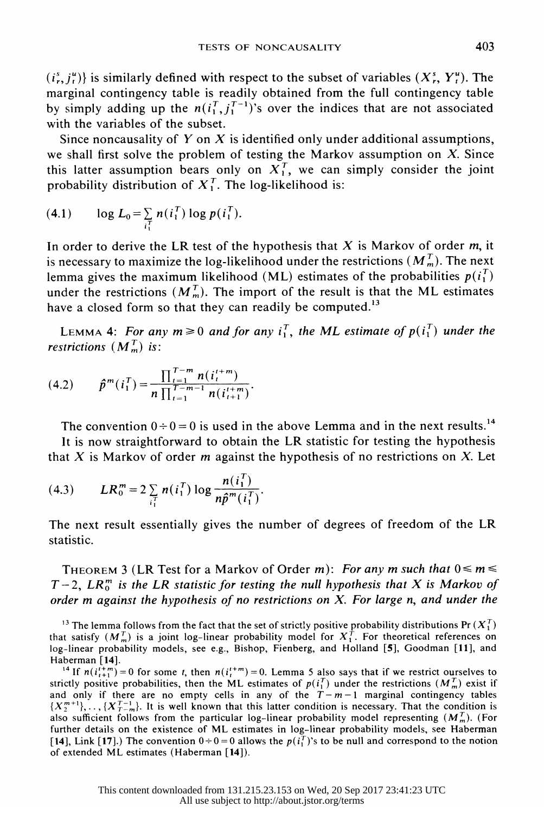$(i_{r}^{s}, j_{r}^{u})$  is similarly defined with respect to the subset of variables  $(X_{r}^{s}, Y_{r}^{u})$ . The marginal contingency table is readily obtained from the full contingency table by simply adding up the  $n(i_1^T, j_1^{T-1})$ 's over the indices that are not associated with the variables of the subset.

Since noncausality of Y on X is identified only under additional assumptions, we shall first solve the problem of testing the Markov assumption on  $X$ . Since this latter assumption bears only on  $X_1^T$ , we can simply consider the joint probability distribution of  $X_1^T$ . The log-likelihood is:

(4.1) 
$$
\log L_0 = \sum_{i_1^T} n(i_1^T) \log p(i_1^T).
$$

In order to derive the LR test of the hypothesis that  $X$  is Markov of order  $m$ , it is necessary to maximize the log-likelihood under the restrictions  $(M_m^T)$ . The next lemma gives the maximum likelihood (ML) estimates of the probabilities  $p(i_1^T)$ under the restrictions  $(M_m^T)$ . The import of the result is that the ML estimates have a closed form so that they can readily be computed.<sup>13</sup>

LEMMA 4: For any  $m \ge 0$  and for any  $i_1^T$ , the ML estimate of  $p(i_1^T)$  under the restrictions  $(M_m^T)$  is:

(4.2) 
$$
\hat{p}^{m}(i_{1}^{T}) = \frac{\prod_{t=1}^{T-m} n(i_{t}^{t+m})}{n \prod_{t=1}^{T-m-1} n(i_{t+1}^{t+m})}.
$$

The convention  $0 \div 0 = 0$  is used in the above Lemma and in the next results.<sup>14</sup>

 It is now straightforward to obtain the LR statistic for testing the hypothesis that  $X$  is Markov of order  $m$  against the hypothesis of no restrictions on  $X$ . Let

(4.3) 
$$
LR_0^m = 2 \sum_{i_1^T} n(i_1^T) \log \frac{n(i_1^T)}{n\hat{p}^m(i_1^T)}.
$$

 The next result essentially gives the number of degrees of freedom of the LR statistic.

THEOREM 3 (LR Test for a Markov of Order m): For any m such that  $0 \le m \le$  $T-2$ ,  $LR_0^m$  is the LR statistic for testing the null hypothesis that X is Markov of order m against the hypothesis of no restrictions on  $X$ . For large n, and under the

The lemma follows from the fact that the set of strictly positive probability distributions Pr ( $X_1$ ) is a joint log-linear probability model for  $X_1^T$ . For theoretical references on log-linear probability models, see e.g., Bishop, Fienberg, and Holland [5], Goodman [11], and Haberman [14].

<sup>&</sup>lt;sup>14</sup> If  $n(i_{t+1}^{t+m}) = 0$  for some t, then  $n(i_t^{t+m}) = 0$ . Lemma 5 also says that if we restrict ourselves to strictly positive probabilities, then the ML estimates of  $p(i_1)$  under the restrictions  $(M_m)$  exist if and only if there are no empty cells in any of the  $T-m-1$  marginal contingency tables  $\{X_2^{m+1}\},\ldots,\{X_{T-m}^{T-1}\}.$  It is well known that this latter condition is necessary. That the condition is also sufficient follows from the particular log-linear probability model representing  $(M_m^T)$ . (For further details on the existence of ML estimates in log-linear probability models, see Haberman [14], Link [17].) The convention  $0 \div 0 = 0$  allows the  $p(i_1^T)$ 's to be null and correspond to the notion of extended ML estimates (Haberman [14]).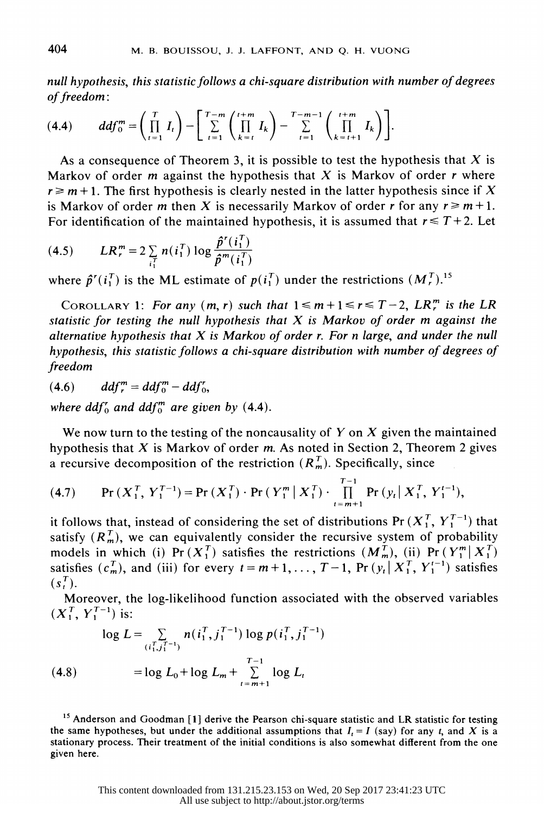null hypothesis, this statistic follows a chi-square distribution with number of degrees of freedom:

$$
(4.4) \t ddf_0^m = \left(\prod_{t=1}^T I_t\right) - \left[\sum_{t=1}^{T-m} \left(\prod_{k=t}^{t+m} I_k\right) - \sum_{t=1}^{T-m-1} \left(\prod_{k=t+1}^{t+m} I_k\right)\right].
$$

As a consequence of Theorem 3, it is possible to test the hypothesis that  $X$  is Markov of order m against the hypothesis that X is Markov of order r where  $r \ge m + 1$ . The first hypothesis is clearly nested in the latter hypothesis since if X is Markov of order m then X is necessarily Markov of order r for any  $r \ge m+1$ . For identification of the maintained hypothesis, it is assumed that  $r \leq T + 2$ . Let

(4.5) 
$$
LR_r^m = 2 \sum_{i_1^T} n(i_1^T) \log \frac{\hat{p}^r(i_1^T)}{\hat{p}^m(i_1^T)}
$$

where  $\hat{p}^r(i_1^T)$  is the ML estimate of  $p(i_1^T)$  under the restrictions  $(M_t^T)$ .<sup>15</sup>

COROLLARY 1: For any  $(m, r)$  such that  $1 \le m+1 \le r \le T-2$ ,  $LR_r^m$  is the LR statistic for testing the null hypothesis that  $X$  is Markov of order  $m$  against the alternative hypothesis that  $X$  is Markov of order  $r$ . For n large, and under the null hypothesis, this statistic follows a chi-square distribution with number of degrees of freedom

 $(4.6)$  ddf''' = ddf''' - ddf''',

where ddf<sub>0</sub> and ddf<sub>0</sub><sup>m</sup> are given by (4.4).

We now turn to the testing of the noncausality of Y on X given the maintained hypothesis that  $X$  is Markov of order  $m$ . As noted in Section 2, Theorem 2 gives a recursive decomposition of the restriction  $(R_m^T)$ . Specifically, since

(4.7) 
$$
\Pr(X_1^T, Y_1^{T-1}) = \Pr(X_1^T) \cdot \Pr(Y_1^m | X_1^T) \cdot \prod_{t=m+1}^{T-1} \Pr(y_t | X_1^T, Y_1^{t-1}),
$$

it follows that, instead of considering the set of distributions  $Pr(X_1^T, Y_1^{T-1})$  that satisfy  $(R_m^T)$ , we can equivalently consider the recursive system of probability models in which (i) Pr  $(X_1^T)$  satisfies the restrictions  $(M_m^T)$ , (ii) Pr  $(Y_1^m | X_1^T)$ satisfies  $(c_m^T)$ , and (iii) for every  $t = m+1, \ldots, T-1$ , Pr  $(y_t | X_1^T, Y_1^{t-1})$  satisfies  $(s_t^T)$ .

 Moreover, the log-likelihood function associated with the observed variables  $(X_1^T, Y_1^{T-1})$  is:

(4.8) 
$$
\log L = \sum_{\substack{(i_1^T, j_1^{T-1}) \\ i_2 = 0}} n(i_1^T, j_1^{T-1}) \log p(i_1^T, j_1^{T-1})
$$

$$
= \log L_0 + \log L_m + \sum_{t=m+1}^{T-1} \log L_t
$$

<sup>15</sup> Anderson and Goodman  $[1]$  derive the Pearson chi-square statistic and LR statistic for testing the same hypotheses, but under the additional assumptions that  $I<sub>t</sub> = I$  (say) for any t, and X is a stationary process. Their treatment of the initial conditions is also somewhat different from the one given here.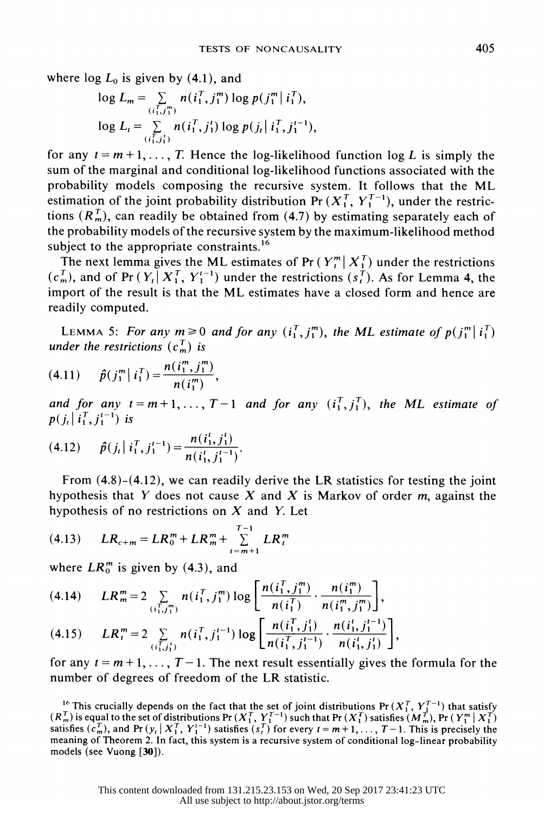where  $\log L_0$  is given by (4.1), and

$$
\log L_m = \sum_{\substack{(i_1^T, j_1^m) \\ (i_1^T, j_1^T)}} n(i_1^T, j_1^m) \log p(j_1^m | i_1^T),
$$
  

$$
\log L_t = \sum_{(i_1^T, j_1^T)} n(i_1^T, j_1^T) \log p(j_t | i_1^T, j_1^{t-1}),
$$

for any  $t = m + 1, \ldots, T$ . Hence the log-likelihood function log L is simply the sum of the marginal and conditional log-likelihood functions associated with the probability models composing the recursive system. It follows that the ML estimation of the joint probability distribution Pr  $(X_1^T, Y_1^{T-1})$ , under the restrictions  $(R_m^T)$ , can readily be obtained from (4.7) by estimating separately each of the probability models of the recursive system by the maximum-likelihood method subject to the appropriate constraints.<sup>16</sup>

The next lemma gives the ML estimates of Pr  $(Y_t^m | X_1^T)$  under the restrictions  $(c_m^T)$ , and of Pr  $(Y_t | X_1^T, Y_1^{t-1})$  under the restrictions  $(s_t^T)$ . As for Lemma 4, the import of the result is that the ML estimates have a closed form and hence are readily computed.

LEMMA 5: For any  $m \ge 0$  and for any  $(i_1^T, j_1^m)$ , the ML estimate of  $p(i_1^m | i_1^T)$ under the restrictions  $(c_m^T)$  is

$$
(4.11) \qquad \hat{p}(j_1^m | i_1^T) = \frac{n(i_1^m, j_1^m)}{n(i_1^m)},
$$

and for any  $t = m+1, \ldots, T-1$  and for any  $(i_1^T, j_1^T)$ , the ML estimate of  $p(j_t | i_1^T, j_1^{t-1})$  is

(4.12) 
$$
\hat{p}(j_t | i_1^T, j_1^{t-1}) = \frac{n(i_1^t, j_1^t)}{n(i_1^t, j_1^{t-1})}.
$$

 From (4.8)-(4.12), we can readily derive the LR statistics for testing the joint hypothesis that Y does not cause  $X$  and  $X$  is Markov of order  $m$ , against the hypothesis of no restrictions on  $X$  and  $Y$ . Let

$$
(4.13) \qquad LR_{c+m} = LR_0^m + LR_m^m + \sum_{t=m+1}^{T-1} LR_t^m
$$

where  $LR_0^m$  is given by (4.3), and

$$
(4.14) \qquad LR_m^m = 2 \sum_{(i_1^T, j_1^m)} n(i_1^T, j_1^m) \log \left[ \frac{n(i_1^T, j_1^m)}{n(i_1^T)} \cdot \frac{n(i_1^m)}{n(i_1^m, j_1^m)} \right],
$$

$$
(4.15) \qquad LR_i^m = 2 \sum_{(i_1^T, j_1^T)} n(i_1^T, j_1^{t-1}) \log \left[ \frac{n(i_1^T, j_1^T)}{n(i_1^T, j_1^{t-1})} \cdot \frac{n(i_1^t, j_1^{t-1})}{n(i_1^t, j_1^t)} \right],
$$

for any  $t = m + 1, \ldots, T-1$ . The next result essentially gives the formula for the number of degrees of freedom of the LR statistic.

<sup>&</sup>lt;sup>16</sup> This crucially depends on the fact that the set of joint distributions Pr  $(X_1^T, Y_1^{T-1})$  that satisfy  $(R_m^T)$  is equal to the set of distributions Pr  $(X_1^T, Y_1^{T-1})$  such that Pr  $(X_1^T)$  satisfies  $(M_m^T)$ , Pr  $(Y_1^m | X_1^T)$ satisfies  $(c_m)$ , and Pr  $(y_t | X_1, Y_1^{-1})$  satisfies  $(s_t)$  for every  $t = m+1, \ldots, T-1$ . This is precisely the meaning of Theorem 2. In fact, this system is a recursive system of conditional log-linear probability models (see Vuong [30]).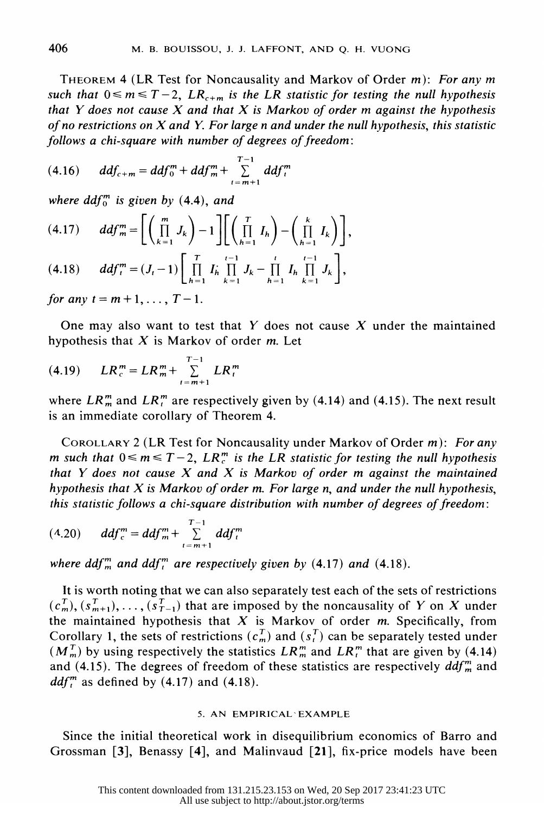THEOREM 4 (LR Test for Noncausality and Markov of Order  $m$ ): For any m such that  $0 \le m \le T-2$ ,  $LR_{c+m}$  is the LR statistic for testing the null hypothesis that Y does not cause X and that X is Markov of order m against the hypothesis of no restrictions on  $X$  and  $Y$ . For large n and under the null hypothesis, this statistic follows a chi-square with number of degrees of freedom:

$$
(4.16) \quad ddf_{c+m} = ddf_0^m + ddf_m^m + \sum_{t=m+1}^{T-1} ddf_t^m
$$

where  $ddf_0^m$  is given by (4.4), and

$$
(4.17) \quad ddf_m^m = \left[ \left( \prod_{k=1}^m J_k \right) - 1 \right] \left[ \left( \prod_{h=1}^T I_h \right) - \left( \prod_{h=1}^k I_k \right) \right],
$$

$$
(4.18) \t ddftm = (Jt - 1) \left[ \prod_{h=1}^{t} I_h \prod_{k=1}^{t-1} J_k - \prod_{h=1}^{t} I_h \prod_{k=1}^{t-1} J_k \right],
$$

for any  $t=m+1, \ldots, T-1$ .

One may also want to test that  $Y$  does not cause  $X$  under the maintained hypothesis that  $X$  is Markov of order  $m$ . Let

$$
(4.19) \qquad LR_c^m = LR_m^m + \sum_{t=m+1}^{T-1} LR_t^m
$$

where  $LR_m^m$  and  $LR_l^m$  are respectively given by (4.14) and (4.15). The next result is an immediate corollary of Theorem 4.

COROLLARY 2 (LR Test for Noncausality under Markov of Order  $m$ ): For any m such that  $0 \le m \le T - 2$ ,  $LR_{c}^{m}$  is the LR statistic for testing the null hypothesis that Y does not cause  $X$  and  $X$  is Markov of order  $m$  against the maintained hypothesis that  $X$  is Markov of order m. For large n, and under the null hypothesis, this statistic follows a chi-square distribution with number of degrees of freedom:

$$
(4.20) \t ddf_c^m = ddf_m^m + \sum_{t=m+1}^{T-1} ddf_t^m
$$

where ddf<sup>m</sup> and ddf<sup>m</sup> are respectively given by (4.17) and (4.18).

 It is worth noting that we can also separately test each of the sets of restrictions  $(c_m^T), (s_{m+1}^T), \ldots, (s_{T-1}^T)$  that are imposed by the noncausality of Y on X under the maintained hypothesis that  $X$  is Markov of order  $m$ . Specifically, from Corollary 1, the sets of restrictions  $(c_m^T)$  and  $(s_t^T)$  can be separately tested under  $(M_m^T)$  by using respectively the statistics  $LR_m^m$  and  $LR_t^m$  that are given by (4.14) and (4.15). The degrees of freedom of these statistics are respectively  $ddf_m^m$  and  $ddf_i^m$  as defined by (4.17) and (4.18).

## 5. AN EMPIRICAL EXAMPLE

 Since the initial theoretical work in disequilibrium economics of Barro and Grossman [3], Benassy [4], and Malinvaud [21], fix-price models have been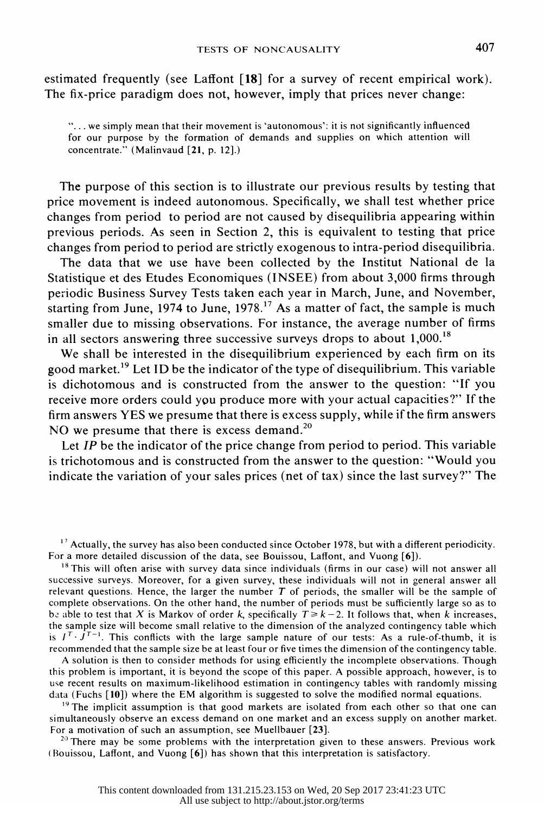estimated frequently (see Laffont [18] for a survey of recent empirical work). The fix-price paradigm does not, however, imply that prices never change:

 ". . . we simply mean that their movement is 'autonomous': it is not significantly influenced for our purpose by the formation of demands and supplies on which attention will concentrate." (Malinvaud [21, p. 12].)

 The purpose of this section is to illustrate our previous results by testing that price movement is indeed autonomous. Specifically, we shall test whether price changes from period to period are not caused by disequilibria appearing within previous periods. As seen in Section 2, this is equivalent to testing that price changes from period to period are strictly exogenous to intra-period disequilibria.

 The data that we use have been collected by the Institut National de la Statistique et des Etudes Economiques (INSEE) from about 3,000 firms through periodic Business Survey Tests taken each year in March, June, and November, starting from June, 1974 to June,  $1978$ .<sup>17</sup> As a matter of fact, the sample is much smaller due to missing observations. For instance, the average number of firms in all sectors answering three successive surveys drops to about  $1,000$ .<sup>18</sup>

 We shall be interested in the disequilibrium experienced by each firm on its good market.<sup>19</sup> Let ID be the indicator of the type of disequilibrium. This variable is dichotomous and is constructed from the answer to the question: "If you receive more orders could you produce more with your actual capacities?" If the firm answers YES we presume that there is excess supply, while if the firm answers NO we presume that there is excess demand.<sup>20</sup>

Let IP be the indicator of the price change from period to period. This variable is trichotomous and is constructed from the answer to the question: "Would you indicate the variation of your sales prices (net of tax) since the last survey?" The

<sup>17</sup> Actually, the survey has also been conducted since October 1978, but with a different periodicity. For a more detailed discussion of the data, see Bouissou, Laffont, and Vuong [6]).

 $18$  This will often arise with survey data since individuals (firms in our case) will not answer all successive surveys. Moreover, for a given survey, these individuals will not in general answer all relevant questions. Hence, the larger the number  $T$  of periods, the smaller will be the sample of complete observations. On the other hand, the number of periods must be sufficiently large so as to be able to test that X is Markov of order k, specifically  $T \ge k - 2$ . It follows that, when k increases, the sample size will become small relative to the dimension of the analyzed contingency table which is  $I^T \cdot J^{T-1}$ . This conflicts with the large sample nature of our tests: As a rule-of-thumb, it is recommended that the sample size be at least four or five times the dimension of the contingency table.

 A solution is then to consider methods for using efficiently the incomplete observations. Though this problem is important, it is beyond the scope of this paper. A possible approach, however, is to use recent results on maximum-likelihood estimation in contingency tables with randomly missing data (Fuchs [10]) where the EM algorithm is suggested to solve the modified normal equations.

<sup>19</sup> The implicit assumption is that good markets are isolated from each other so that one can simultaneously observe an excess demand on one market and an excess supply on another market. For a motivation of such an assumption, see Muellbauer [23].

 $20$  There may be some problems with the interpretation given to these answers. Previous work (Bouissou, Laffont, and Vuong  $[6]$ ) has shown that this interpretation is satisfactory.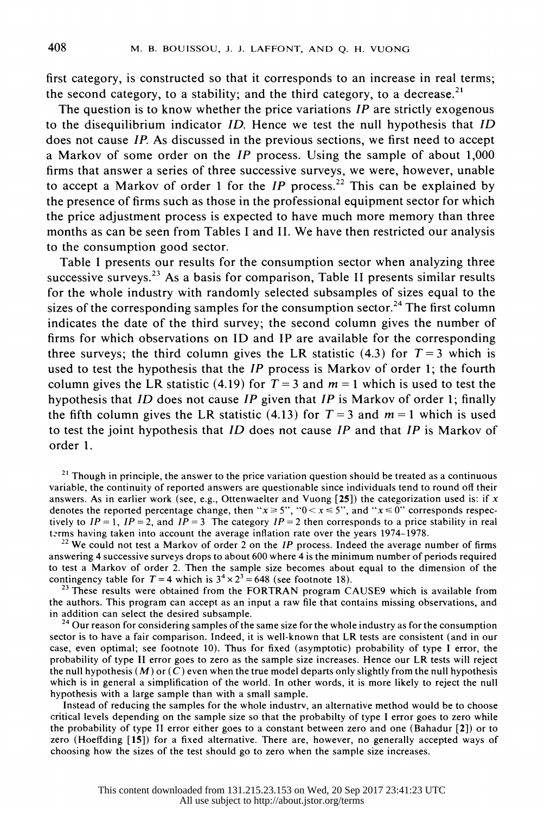first category, is constructed so that it corresponds to an increase in real terms; the second category, to a stability; and the third category, to a decrease.<sup>21</sup>

The question is to know whether the price variations  $IP$  are strictly exogenous to the disequilibrium indicator  $ID$ . Hence we test the null hypothesis that  $ID$  does not cause IP. As discussed in the previous sections, we first need to accept a Markov of some order on the IP process. Using the sample of about 1,000 firms that answer a series of three successive surveys, we were, however, unable to accept a Markov of order 1 for the  $IP$  process.<sup>22</sup> This can be explained by the presence of firms such as those in the professional equipment sector for which the price adjustment process is expected to have much more memory than three months as can be seen from Tables I and II. We have then restricted our analysis to the consumption good sector.

 Table I presents our results for the consumption sector when analyzing three successive surveys.<sup>23</sup> As a basis for comparison, Table II presents similar results for the whole industry with randomly selected subsamples of sizes equal to the sizes of the corresponding samples for the consumption sector.<sup>24</sup> The first column indicates the date of the third survey; the second column gives the number of firms for which observations on ID and IP are available for the corresponding three surveys; the third column gives the LR statistic (4.3) for  $T = 3$  which is used to test the hypothesis that the  $IP$  process is Markov of order 1; the fourth column gives the LR statistic (4.19) for  $T = 3$  and  $m = 1$  which is used to test the hypothesis that ID does not cause IP given that IP is Markov of order 1; finally the fifth column gives the LR statistic (4.13) for  $T = 3$  and  $m = 1$  which is used to test the joint hypothesis that  $ID$  does not cause  $IP$  and that  $IP$  is Markov of order 1.

 $21$  Though in principle, the answer to the price variation question should be treated as a continuous variable, the continuity of reported answers are questionable since individuals tend to round off their answers. As in earlier work (see, e.g., Ottenwaelter and Vuong [25]) the categorization used is: if x denotes the reported percentage change, then " $x \ge 5$ ", " $0 < x \le 5$ ", and " $x \le 0$ " corresponds respectively to  $IP = 1$ ,  $IP = 2$ , and  $IP = 3$ . The category  $IP = 2$  then corresponds to a price stability in real terms having taken into account the average inflation rate over the years 1974-1978.

<sup>22</sup> We could not test a Markov of order 2 on the *IP* process. Indeed the average number of firms answering 4 successive surveys drops to about 600 where 4 is the minimum number of periods required to test a Markov of order 2. Then the sample size becomes about equal to the dimension of the contingency table for  $T = 4$  which is  $3^4 \times 2^3 = 648$  (see footnote 18).

 $23$  These results were obtained from the FORTRAN program CAUSE9 which is available from the authors. This program can accept as an input a raw file that contains missing observations, and in addition can select the desired subsample.

<sup>24</sup> Our reason for considering samples of the same size for the whole industry as for the consumption sector is to have a fair comparison. Indeed, it is well-known that LR tests are consistent (and in our case, even optimal; see footnote 10). Thus for fixed (asymptotic) probability of type I error, the probability of type II error goes to zero as the sample size increases. Hence our LR tests will reject the null hypothesis  $(M)$  or  $(C)$  even when the true model departs only slightly from the null hypothesis which is in general a simplification of the world. In other words, it is more likely to reject the null hypothesis with a large sample than with a small sample.

 Instead of reducing the samples for the whole industrv, an alternative method would be to choose critical levels depending on the sample size so that the probabilty of type I error goes to zero while the probability of type II error either goes to a constant between zero and one (Bahadur [2]) or to zero (Hoeffding [15]) for a fixed alternative. There are, however, no generally accepted ways of choosing how the sizes of the test should go to zero when the sample size increases.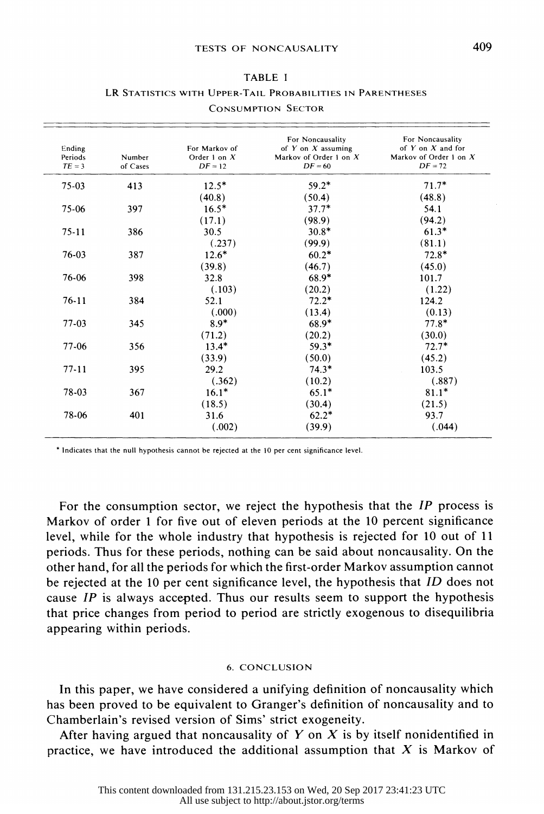| Ending<br>Periods<br>$TE = 3$ | Number<br>of Cases | For Markov of<br>Order 1 on $X$<br>$DF = 12$ | For Noncausality<br>of $Y$ on $X$ assuming<br>Markov of Order 1 on X<br>$DF = 60$ | For Noncausality<br>of $Y$ on $X$ and for<br>Markov of Order 1 on $X$<br>$DF = 72$ |
|-------------------------------|--------------------|----------------------------------------------|-----------------------------------------------------------------------------------|------------------------------------------------------------------------------------|
| 75-03                         | 413                | $12.5*$                                      | $59.2*$                                                                           | $71.7*$                                                                            |
|                               |                    | (40.8)                                       | (50.4)                                                                            | (48.8)                                                                             |
| 75-06                         | 397                | $16.5*$                                      | $37.7*$                                                                           | 54.1                                                                               |
|                               |                    | (17.1)                                       | (98.9)                                                                            | (94.2)                                                                             |
| $75-11$                       | 386                | 30.5                                         | $30.8*$                                                                           | $61.3*$                                                                            |
|                               |                    | (.237)                                       | (99.9)                                                                            | (81.1)                                                                             |
| 76-03                         | 387                | $12.6*$                                      | $60.2*$                                                                           | $72.8*$                                                                            |
|                               |                    | (39.8)                                       | (46.7)                                                                            | (45.0)                                                                             |
| 76-06                         | 398                | 32.8                                         | $68.9*$                                                                           | 101.7                                                                              |
|                               |                    | (.103)                                       | (20.2)                                                                            | (1.22)                                                                             |
| $76-11$                       | 384                | 52.1                                         | $72.2*$                                                                           | 124.2                                                                              |
|                               |                    | (.000)                                       | (13.4)                                                                            | (0.13)                                                                             |
| $77-03$                       | 345                | $8.9*$                                       | $68.9*$                                                                           | $77.8*$                                                                            |
|                               |                    | (71.2)                                       | (20.2)                                                                            | (30.0)                                                                             |
| 77-06                         | 356                | $13.4*$                                      | $59.3*$                                                                           | $72.7*$                                                                            |
|                               |                    | (33.9)                                       | (50.0)                                                                            | (45.2)                                                                             |
| $77-11$                       | 395                | 29.2                                         | $74.3*$                                                                           | 103.5                                                                              |
|                               |                    | (.362)                                       | (10.2)                                                                            | (.887)                                                                             |
| 78-03                         | 367                | $16.1*$                                      | $65.1*$                                                                           | $81.1*$                                                                            |
|                               |                    | (18.5)                                       | (30.4)                                                                            | (21.5)                                                                             |
| 78-06                         | 401                | 31.6                                         | $62.2*$                                                                           | 93.7                                                                               |
|                               |                    | (.002)                                       | (39.9)                                                                            | (.044)                                                                             |

# TABLE I LR STATISTICS WITH UPPER-TAIL PROBABILITIES IN PARENTHESES CONSUMPTION SECTOR

\* Indicates that the null hypothesis cannot be rejected at the 10 per cent significance level.

For the consumption sector, we reject the hypothesis that the IP process is Markov of order 1 for five out of eleven periods at the 10 percent significance level, while for the whole industry that hypothesis is rejected for 10 out of 11 periods. Thus for these periods, nothing can be said about noncausality. On the other hand, for all the periods for which the first-order Markov assumption cannot be rejected at the 10 per cent significance level, the hypothesis that ID does not cause  $IP$  is always accepted. Thus our results seem to support the hypothesis that price changes from period to period are strictly exogenous to disequilibria appearing within periods.

#### 6. CONCLUSION

 In this paper, we have considered a unifying definition of noncausality which has been proved to be equivalent to Granger's definition of noncausality and to Chamberlain's revised version of Sims' strict exogeneity.

After having argued that noncausality of Y on X is by itself nonidentified in practice, we have introduced the additional assumption that  $X$  is Markov of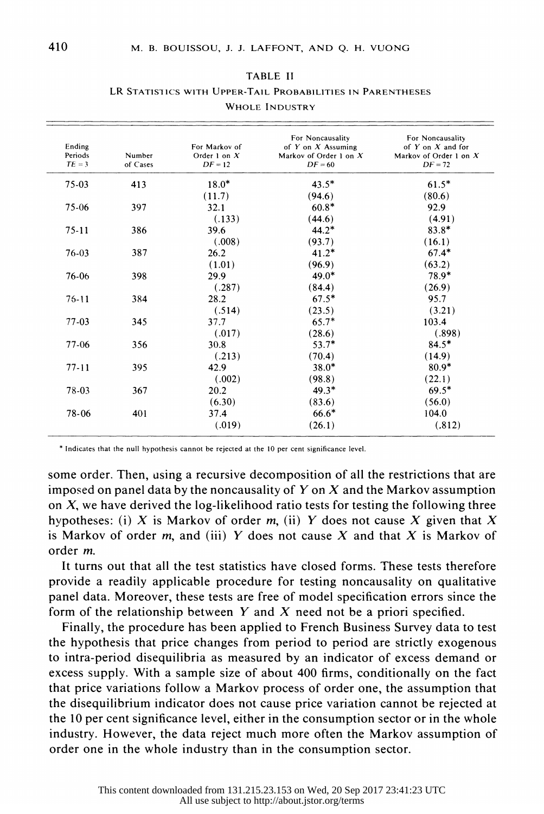#### TABLE II

# LR STATISTICS WITH UPPER-TAIL PROBABILITIES IN PARENTHESES

| Ending<br>Periods<br>$TE = 3$ | Number<br>of Cases | For Markov of<br>Order 1 on $X$<br>$DF = 12$ | For Noncausality<br>of Y on $X$ Assuming<br>Markov of Order 1 on $X$<br>$DF = 60$ | For Noncausality<br>of Y on $X$ and for<br>Markov of Order 1 on $X$<br>$DF = 72$ |
|-------------------------------|--------------------|----------------------------------------------|-----------------------------------------------------------------------------------|----------------------------------------------------------------------------------|
| 75-03                         | 413                | $18.0*$                                      | $43.5*$                                                                           | $61.5*$                                                                          |
|                               |                    | (11.7)                                       | (94.6)                                                                            | (80.6)                                                                           |
| 75-06                         | 397                | 32.1                                         | $60.8*$                                                                           | 92.9                                                                             |
|                               |                    | (.133)                                       | (44.6)                                                                            | (4.91)                                                                           |
| $75 - 11$                     | 386                | 39.6                                         | $44.2*$                                                                           | 83.8*                                                                            |
|                               |                    | (.008)                                       | (93.7)                                                                            | (16.1)                                                                           |
| 76-03                         | 387                | 26.2                                         | $41.2*$                                                                           | $67.4*$                                                                          |
|                               |                    | (1.01)                                       | (96.9)                                                                            | (63.2)                                                                           |
| 76-06                         | 398                | 29.9                                         | $49.0*$                                                                           | 78.9*                                                                            |
|                               |                    | (.287)                                       | (84.4)                                                                            | (26.9)                                                                           |
| 76-11                         | 384                | 28.2                                         | $67.5*$                                                                           | 95.7                                                                             |
|                               |                    | (.514)                                       | (23.5)                                                                            | (3.21)                                                                           |
| $77-03$                       | 345                | 37.7                                         | $65.7*$                                                                           | 103.4                                                                            |
|                               |                    | (.017)                                       | (28.6)                                                                            | (.898)                                                                           |
| 77-06                         | 356                | 30.8                                         | $53.7*$                                                                           | $84.5*$                                                                          |
|                               |                    | (.213)                                       | (70.4)                                                                            | (14.9)                                                                           |
| $77-11$                       | 395                | 42.9                                         | $38.0*$                                                                           | $80.9*$                                                                          |
|                               |                    | (.002)                                       | (98.8)                                                                            | (22.1)                                                                           |
| 78-03                         | 367                | 20.2                                         | $49.3*$                                                                           | $69.5*$                                                                          |
|                               |                    | (6.30)                                       | (83.6)                                                                            | (56.0)                                                                           |
| 78-06                         | 401                | 37.4                                         | $66.6*$                                                                           | 104.0                                                                            |
|                               |                    | (.019)                                       | (26.1)                                                                            | (.812)                                                                           |

#### WHOLE INDUSTRY

\* Indicates that the null hypothesis cannot be rejected at the 10 per cent significance level.

 some order. Then, using a recursive decomposition of all the restrictions that are imposed on panel data by the noncausality of Y on X and the Markov assumption on  $X$ , we have derived the log-likelihood ratio tests for testing the following three hypotheses: (i)  $X$  is Markov of order  $m$ , (ii)  $Y$  does not cause  $X$  given that  $X$ is Markov of order m, and (iii) Y does not cause X and that X is Markov of order m.

 It turns out that all the test statistics have closed forms. These tests therefore provide a readily applicable procedure for testing noncausality on qualitative panel data. Moreover, these tests are free of model specification errors since the form of the relationship between  $Y$  and  $X$  need not be a priori specified.

 Finally, the procedure has been applied to French Business Survey data to test the hypothesis that price changes from period to period are strictly exogenous to intra-period disequilibria as measured by an indicator of excess demand or excess supply. With a sample size of about 400 firms, conditionally on the fact that price variations follow a Markov process of order one, the assumption that the disequilibrium indicator does not cause price variation cannot be rejected at the 10 per cent significance level, either in the consumption sector or in the whole industry. However, the data reject much more often the Markov assumption of order one in the whole industry than in the consumption sector.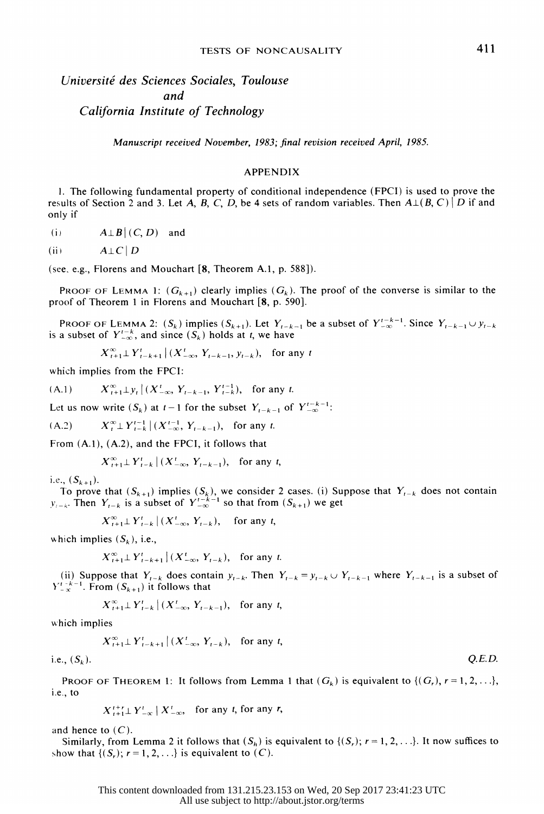Universite des Sciences Sociales, Toulouse and California Institute of Technology

Manuscript received November, 1983; final revision received April, 1985.

### APPENDIX

 1. The following fundamental property of conditional independence (FPCI) is used to prove the results of Section 2 and 3. Let A, B, C, D, be 4 sets of random variables. Then  $A\perp (B, C)$  D if and only if

(i)  $A \perp B \mid (C, D)$  and

(ii)  $A \perp C \parallel D$ 

(see. e.g., Florens and Mouchart [8, Theorem A.1, p. 588]).

PROOF OF LEMMA 1:  $(G_{k+1})$  clearly implies  $(G_k)$ . The proof of the converse is similar to the proof of Theorem 1 in Florens and Mouchart [8, p. 590].

PROOF OF LEMMA 2:  $(S_k)$  implies  $(S_{k+1})$ . Let  $Y_{t-k-1}$  be a subset of  $Y_{-\infty}^{t-k-1}$ . Since  $Y_{t-k-1} \cup y_{t-k}$ is a subset of  $Y_{-\infty}^{t-k}$ , and since  $(S_k)$  holds at t, we have

 $X_{t+1}^{\infty} \perp Y_{t-k+1}^t | (X_{-\infty}^t, Y_{t-k-1}, y_{t-k}),$  for any t

which implies from the FPCI:

(A.1)  $X_{t+1}^{\infty} \perp y_t \mid (X_{-\infty}^t, Y_{t-k-1}, Y_{t-k}^{t-1}),$  for any t.

Let us now write  $(S_k)$  at  $t-1$  for the subset  $Y_{t-k-1}$  of  $Y_{-\infty}^{t-k-1}$ :

(A.2)  $X_t^{\infty} \perp Y_{t-k}^{t-1} | (X_{-\infty}^{t-1}, Y_{t-k-1}),$  for any t.

From (A.1), (A.2), and the FPCI, it follows that

 $X_{t+1}^{\infty} \perp Y_{t-k}^{t} | (X_{-\infty}^{t}, Y_{t-k-1}),$  for any t,

i.e.,  $(S_{k+1})$ .

To prove that  $(S_{k+1})$  implies  $(S_k)$ , we consider 2 cases. (i) Suppose that  $Y_{t-k}$  does not contain  $y_{t-k}$ . Then  $Y_{t-k}$  is a subset of  $Y_{-\infty}^{(-k-1)}$  so that from  $(S_{k+1})$  we get

$$
X_{t+1}^{\infty} \perp Y_{t-k}^{t} \mid (X_{-\infty}^{t}, Y_{t-k}), \quad \text{for any } t,
$$

which implies  $(S_k)$ , i.e.,

$$
X_{t+1}^{\infty} \perp Y_{t-k+1}^{t} \mid (X_{-\infty}^{t}, Y_{t-k}), \text{ for any } t.
$$

(ii) Suppose that  $Y_{t-k}$  does contain  $y_{t-k}$ . Then  $Y_{t-k} = y_{t-k} \cup Y_{t-k-1}$  where  $Y_{t-k-1}$  is a subset of  $Y_{-\infty}^{t-k-1}$ . From  $(S_{k+1})$  it follows that

 $X_{t+1}^{\infty} \perp Y_{t-k}^t \mid (X_{-\infty}^t, Y_{t-k-1}),$  for any t,

which implies

which implies  
\n
$$
X_{t+1}^{\infty} Y_{t-k+1}^{t} | (X_{-\infty}^{t}, Y_{t-k}), \text{ for any } t,
$$
\ni.e.,  $(S_k)$ . Q.E.D.

 $X_{t+1}^{\infty} Y_{t-k+1}^{t} | (X_{-\infty}^{t}, Y_{t-k})$ , for any t,<br>  $(X_k)$ .<br>
PROOF OF THEOREM 1: It follows from Lemma 1 that  $(G_k)$  is equivalent to  $\{(G_t), r = 1, 2, ...\}$ , to i.e., to

 $X_{t+1}^{t+r} \perp Y_{-\infty}^t | X_{-\infty}^t$ , for any t, for any r,

and hence to  $(C)$ .

Similarly, from Lemma 2 it follows that  $(S_n)$  is equivalent to  $\{(S_n); r = 1, 2, \ldots\}$ . It now suffices to show that  $\{(S_r); r=1, 2, \ldots\}$  is equivalent to  $(C)$ .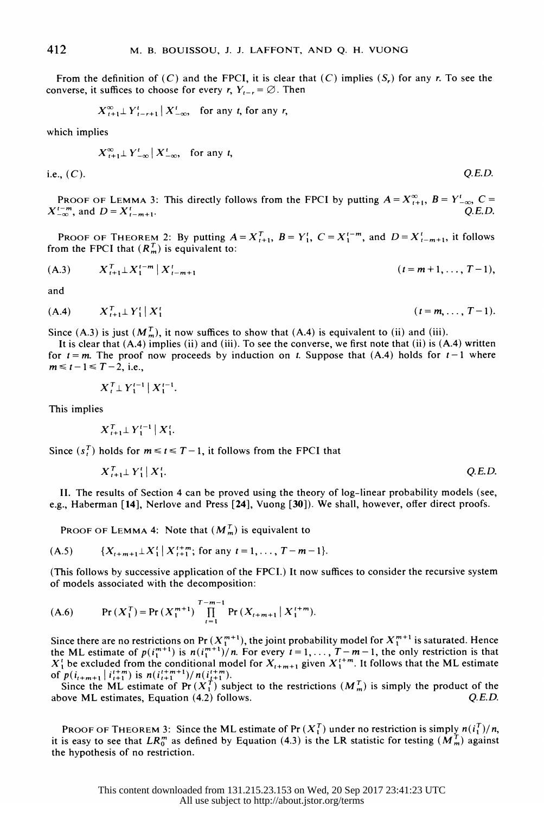From the definition of  $(C)$  and the FPCI, it is clear that  $(C)$  implies  $(S<sub>r</sub>)$  for any r. To see the converse, it suffices to choose for every r,  $Y_{t-r} = \emptyset$ . Then

$$
X_{t+1}^{\infty} \perp Y_{t-r+1}^t \mid X_{-\infty}^t, \text{ for any } t, \text{ for any } r,
$$

which implies

which implies  
\n
$$
X_{t+1}^{\infty} Y_{-\infty}^t | X_{-\infty}^t, \text{ for any } t,
$$
\ni.e., (C).

PROOF OF LEMMA 3: This directly follows from the FPCI by putting  $A = X_{t+1}^{\infty}$ ,  $B = Y_{-\infty}^t$ ,  $C = X_{-\infty}^{t-m}$ , and  $D = X_{t-m+1}^t$ . Q.E.D.

PROOF OF THEOREM 2: By putting  $A = X_{t+1}^T$ ,  $B = Y_1^t$ ,  $C = X_1^{t-m}$ , and  $D = X_{t-m+1}^t$ , it follows from the FPCI that  $(R_m^T)$  is equivalent to:

(A.3) 
$$
X_{t+1}^T \perp X_t^{t-m} | X_{t-m+1}^t
$$
  $(t = m+1, ..., T-1),$ 

and

and  
\n(A.4) 
$$
X_{t+1}^T \perp Y_1^t \mid X_1^t
$$
  $(t = m, ..., T-1)$ 

(A.4)  $X_{i+1} \perp Y_1 | X_1$  ( $I = m, \ldots, I-1$ ).<br>
Since (A.3) is just  $(M_m^T)$ , it now suffices to show that (A.4) is equivalent to (ii) and (iii).<br>
It is clear that (A.4) implies (ii) and (iii). To see the converse we first note

 It is clear that (A.4) implies (ii) and (iii). To see the converse, we first note that (ii) is (A.4) written for  $t = m$ . The proof now proceeds by induction on t. Suppose that (A.4) holds for  $t-1$  where  $m \leq t-1 \leq T-2$ , i.e.,

$$
X_t^T \perp Y_1^{t-1} \mid X_1^{t-1}.
$$

This implies

 $X_{t+1}^T \bot Y_1^{t-1} | X_1^t$ 

Since 
$$
(s_t^T)
$$
 holds for  $m \le t \le T-1$ , it follows from the FPCI that  

$$
X_{t+1}^T \perp Y_1^t \mid X_1^t.
$$
Q.E.D.

 II. The results of Section 4 can be proved using the theory of log-linear probability models (see, e.g., Haberman [14], Nerlove and Press [24], Vuong [30]). We shall, however, offer direct proofs.

PROOF OF LEMMA 4: Note that  $(M_m^T)$  is equivalent to

(A.5) 
$$
\{X_{t+m+1} \perp X_1^t \mid X_{t+1}^{t+m}; \text{ for any } t=1,\ldots, T-m-1\}.
$$

 (This follows by successive application of the FPCI.) It now suffices to consider the recursive system of models associated with the decomposition:

$$
(A.6) \t\t Pr(X_1^T) = Pr(X_1^{m+1}) \prod_{t=1}^{T-m-1} Pr(X_{t+m+1} | X_1^{t+m}).
$$

Since there are no restrictions on Pr  $(X_1^{m+1})$ , the joint probability model for  $X_1^{m+1}$  is saturated. Hence the ML estimate of  $p(i_1^{m+1})$  is  $n(i_1^{m+1})/n$ . For every  $t = 1, \ldots, T-m-1$ , the only restriction is that  $X_1^{\dagger}$  be excluded from the conditional model for  $X_{t+m+1}$  given  $X_1^{t+m}$ . It follows that the ML estimate of  $p(i_{t+m+1} | i_{t+1}^{t+m})$  is  $n(i_{t+1}^{t+m+1})/n(i_{t+1}^{t+m})$ .

Since the ML estimate of Pr  $(X_1)$  subject to the restrictions  $(M_m)$  is simply the product of the above ML estimates, Equation (4.2) follows. Q.E.D.

PROOF OF THEOREM 3: Since the ML estimate of Pr  $(X_1^T)$  under no restriction is simply  $n(i_1^T)/n$ , it is easy to see that  $LR_0^m$  as defined by Equation (4.3) is the LR statistic for testing  $(M_m^T)$  against the hypothesis of no restriction.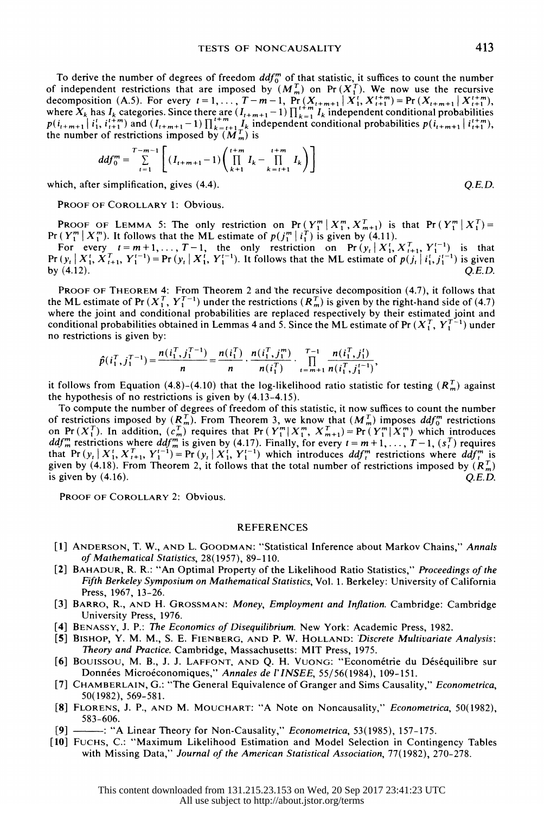To derive the number of degrees of freedom  $ddf_0^m$  of that statistic, it suffices to count the number of independent restrictions that are imposed by  $(M_m^T)$  on Pr  $(X_1^T)$ . We now use the recursive decomposition (A.5). For every  $t = 1, ..., T-m-1$ ,  $Pr(X_{t+m+1} | X_1, X_{t+1}^{t+}) = Pr(X_{t+m+1} | X_{t+1}^{t+})$ , where  $X_k$  has  $I_k$  categories. Since there are  $(I_{t+m+1}-1)$   $\prod_{k=1} I_k$  independent conditional probabilities  $p(i_{t+m+1} | i'_1, i'^{+m}_{t+1})$  and  $(I_{t+m+1}-1)$   $\prod_{k=t+1} I_k$  independent conditional probabilities  $p(i_{t+m+1} | i'^{+m}_{t+1})$ the number of restrictions imposed by  $(M_m^{\bullet})$  is<br> $T-m-1$   $\int_{1+m}^{1+m} t+m$ 

$$
ddf_0^m = \sum_{i=1}^{T-m-1} \left[ (I_{t+m+1} - 1) \left( \prod_{k=1}^{t+m} I_k - \prod_{k=t+1}^{t+m} I_k \right) \right]
$$
  
which, after simplification, gives (4.4).  
Q.E.D.

PROOF OF COROLLARY 1: Obvious.

**PROOF OF LEMMA 5: The only restriction on Pr**  $(Y_1^m | X_1^m, X_{m+1}^T)$  is that Pr  $(Y_1^m | X_1^T)$  = Pr ( $Y_1^m \mid X_1^m$ ). It follows that the ML estimate of  $p(j_1^m \mid i_1^T)$  is given by (4.11).

For every  $t = m + 1, \ldots, T - 1$ , the only restriction on  $Pr(y_t | X_1^t, X_{t+1}^t, Y_1^{t-1})$  is that Pr  $(y_t | X_t, X_{t+1}, Y_1^{(-)} ) =$  Pr  $(y_t | X_t, Y_1^{(-)} )$ . It follows that the ML estimate of  $p(j_t | i_t, j_t^{(-)} )$  is given Pr  $(Y_1^m | X_1^m)$ . It follows that the ML estimate of  $p(j_1^m | i_1^T)$  is given by (4.11).<br>
For every  $t = m+1, ..., T-1$ , the only restriction on  $Pr(y_t | X_1^t, X_{t+1}^T, Y_1^{t-1})$  is that<br>  $Pr(y_t | X_1^t, X_{t+1}^T, Y_1^{t-1}) = Pr(y_t | X_1^t, Y_1^{$ 

 PROOF OF THEOREM 4: From Theorem 2 and the recursive decomposition (4.7), it follows that the ML estimate of Pr  $(X_1^T, Y_1^{T-1})$  under the restrictions  $(R_m^T)$  is given by the right-hand side of (4.7) where the joint and conditional probabilities are replaced respectively by their estimated joint and conditional probabilities obtained in Lemmas 4 and 5. Since the ML estimate of Pr  $(X_1^T, Y_1^T^{-1})$  under no restrictions is given by:

$$
\hat{p}(i_1^T, j_1^{T-1}) = \frac{n(i_1^T, j_1^{T-1})}{n} = \frac{n(i_1^T)}{n} \cdot \frac{n(i_1^T, j_1^m)}{n(i_1^T)} \cdot \prod_{t=m+1}^{T-1} \frac{n(i_1^T, j_1^t)}{n(i_1^T, j_1^{t-1})}
$$

it follows from Equation (4.8)-(4.10) that the log-likelihood ratio statistic for testing  $(R_m^T)$  against the hypothesis of no restrictions is given by (4.13-4.15).

 To compute the number of degrees of freedom of this statistic, it now suffices to count the number of restrictions imposed by  $(R_m^T)$ . From Theorem 3, we know that  $(M_m^T)$  imposes  $ddf_0^m$  restrictions on Pr( $X_1^T$ ). In addition,  $(c_m^T)$  requires that Pr( $Y_1^m|X_1^m, X_{m+1}^T$ ) = Pr( $Y_1^m|X_1^m$ ) which introduces  $dd^m_{m}$  restrictions where  $dd^m_{m}$  is given by (4.17). Finally, for every  $t = m+1, ..., T-1, (s_t^T)$  requires that Pr  $(y_1 | X_1, X_{i+1}, Y_1^{i}) = Pr(y_i | X_1, Y_1^{i})$  which introduces  $dd^{n}$  restrictions where  $dd^{n}$  is given by (4.18). From Theorem 2, it follows that the total number of restrictions imposed by  $(R_m)$ that Pr(y<sub>i</sub> | X<sub>i</sub>, X<sub>i+1</sub>, Y<sub>i</sub> ') = Pr(y<sub>i</sub> | X<sub>i</sub>, Y<sub>i</sub> ') which introduces *ddf*<sub>i</sub>" restrictions where *ddf*<sub>i</sub>" is<br>given by (4.18). From Theorem 2, it follows that the total number of restrictions imposed by (R<sub>m</sub>)

PROOF OF COROLLARY 2: Obvious.

### REFERENCES

- [I] ANDERSON, T. W., AND L. GOODMAN: "Statistical Inference about Markov Chains," Annals of Mathematical Statistics, 28(1957), 89-110.
- [2] BAHADUR, R. R.: "An Optimal Property of the Likelihood Ratio Statistics," Proceedings of the Fifth Berkeley Symposium on Mathematical Statistics, Vol. 1. Berkeley: University of California Press, 1967, 13-26.
- [3] BARRO, R., AND H. GROSSMAN: Money, Employment and Inflation. Cambridge: Cambridge University Press, 1976.
- [4] BENASSY, J. P.: The Economics of Disequilibrium. New York: Academic Press, 1982.
- [5] BISHOP, Y. M. M., S. E. FIENBERG, AND P. W. HOLLAND: Discrete Multivariate Analysis: Theory and Practice. Cambridge, Massachusetts: MIT Press, 1975.
- [6] Bouissou, M. B., J. J. LAFFONT, AND Q. H. VUONG: "Econometrie du Desequilibre sur Données Microéconomiques," Annales de l'INSEE, 55/56(1984), 109-151.
- [7] CHAMBERLAIN, G.: "The General Equivalence of Granger and Sims Causality," Econometrica, 50(1982), 569-581.
- [8] FLORENS, J. P., AND M. MOUCHART: "A Note on Noncausality," Econometrica, 50(1982), 583-606.
- [9] : "A Linear Theory for Non-Causality," Econometrica, 53(1985), 157-175.
- [10] FUCHS, C.: "Maximum Likelihood Estimation and Model Selection in Contingency Tables with Missing Data," Journal of the American Statistical Association, 77(1982), 270-278.